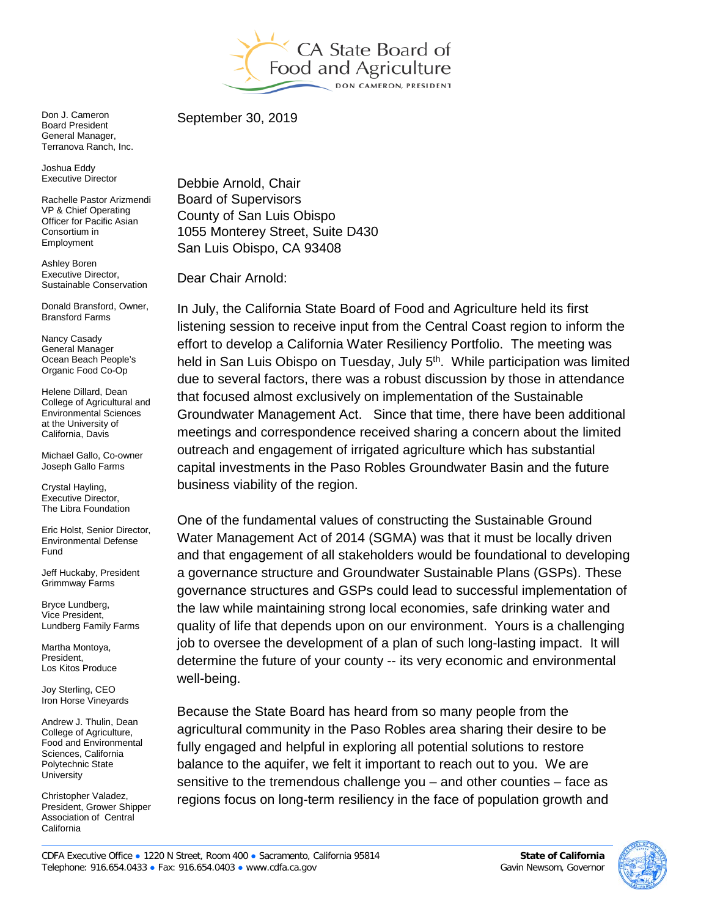

Don J. Cameron Board President General Manager, Terranova Ranch, Inc.

Joshua Eddy Executive Director

Rachelle Pastor Arizmendi VP & Chief Operating Officer for Pacific Asian Consortium in Employment

Ashley Boren Executive Director, Sustainable Conservation

Donald Bransford, Owner, Bransford Farms

Nancy Casady General Manager Ocean Beach People's Organic Food Co-Op

Helene Dillard, Dean College of Agricultural and Environmental Sciences at the University of California, Davis

Michael Gallo, Co-owner Joseph Gallo Farms

Crystal Hayling, Executive Director, The Libra Foundation

Eric Holst, Senior Director, Environmental Defense Fund

Jeff Huckaby, President Grimmway Farms

Bryce Lundberg, Vice President, Lundberg Family Farms

Martha Montoya, President, Los Kitos Produce

Joy Sterling, CEO Iron Horse Vineyards

Andrew J. Thulin, Dean College of Agriculture, Food and Environmental Sciences, California Polytechnic State **University** 

Christopher Valadez, President, Grower Shipper Association of Central California

September 30, 2019

Debbie Arnold, Chair Board of Supervisors County of San Luis Obispo 1055 Monterey Street, Suite D430 San Luis Obispo, CA 93408

Dear Chair Arnold:

In July, the California State Board of Food and Agriculture held its first listening session to receive input from the Central Coast region to inform the effort to develop a California Water Resiliency Portfolio. The meeting was held in San Luis Obispo on Tuesday, July 5<sup>th</sup>. While participation was limited due to several factors, there was a robust discussion by those in attendance that focused almost exclusively on implementation of the Sustainable Groundwater Management Act. Since that time, there have been additional meetings and correspondence received sharing a concern about the limited outreach and engagement of irrigated agriculture which has substantial capital investments in the Paso Robles Groundwater Basin and the future business viability of the region.

One of the fundamental values of constructing the Sustainable Ground Water Management Act of 2014 (SGMA) was that it must be locally driven and that engagement of all stakeholders would be foundational to developing a governance structure and Groundwater Sustainable Plans (GSPs). These governance structures and GSPs could lead to successful implementation of the law while maintaining strong local economies, safe drinking water and quality of life that depends upon on our environment. Yours is a challenging job to oversee the development of a plan of such long-lasting impact. It will determine the future of your county -- its very economic and environmental well-being.

Because the State Board has heard from so many people from the agricultural community in the Paso Robles area sharing their desire to be fully engaged and helpful in exploring all potential solutions to restore balance to the aquifer, we felt it important to reach out to you. We are sensitive to the tremendous challenge you – and other counties – face as regions focus on long-term resiliency in the face of population growth and